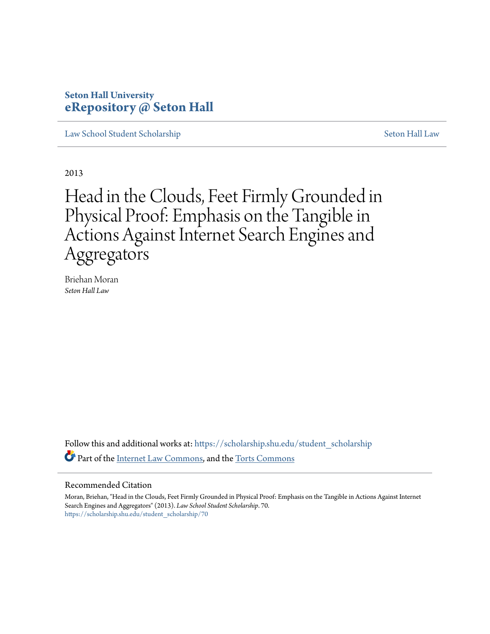# **Seton Hall University [eRepository @ Seton Hall](https://scholarship.shu.edu?utm_source=scholarship.shu.edu%2Fstudent_scholarship%2F70&utm_medium=PDF&utm_campaign=PDFCoverPages)**

[Law School Student Scholarship](https://scholarship.shu.edu/student_scholarship?utm_source=scholarship.shu.edu%2Fstudent_scholarship%2F70&utm_medium=PDF&utm_campaign=PDFCoverPages) [Seton Hall Law](https://scholarship.shu.edu/law?utm_source=scholarship.shu.edu%2Fstudent_scholarship%2F70&utm_medium=PDF&utm_campaign=PDFCoverPages)

2013

Head in the Clouds, Feet Firmly Grounded in Physical Proof: Emphasis on the Tangible in Actions Against Internet Search Engines and Aggregators

Briehan Moran *Seton Hall Law*

Follow this and additional works at: [https://scholarship.shu.edu/student\\_scholarship](https://scholarship.shu.edu/student_scholarship?utm_source=scholarship.shu.edu%2Fstudent_scholarship%2F70&utm_medium=PDF&utm_campaign=PDFCoverPages) Part of the [Internet Law Commons,](http://network.bepress.com/hgg/discipline/892?utm_source=scholarship.shu.edu%2Fstudent_scholarship%2F70&utm_medium=PDF&utm_campaign=PDFCoverPages) and the [Torts Commons](http://network.bepress.com/hgg/discipline/913?utm_source=scholarship.shu.edu%2Fstudent_scholarship%2F70&utm_medium=PDF&utm_campaign=PDFCoverPages)

#### Recommended Citation

Moran, Briehan, "Head in the Clouds, Feet Firmly Grounded in Physical Proof: Emphasis on the Tangible in Actions Against Internet Search Engines and Aggregators" (2013). *Law School Student Scholarship*. 70. [https://scholarship.shu.edu/student\\_scholarship/70](https://scholarship.shu.edu/student_scholarship/70?utm_source=scholarship.shu.edu%2Fstudent_scholarship%2F70&utm_medium=PDF&utm_campaign=PDFCoverPages)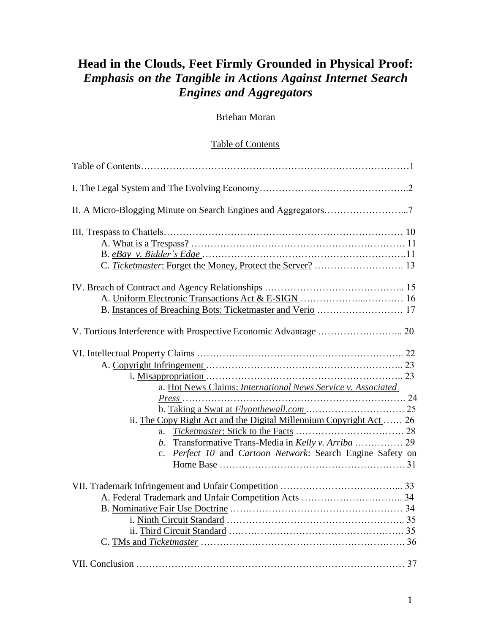# **Head in the Clouds, Feet Firmly Grounded in Physical Proof:** *Emphasis on the Tangible in Actions Against Internet Search Engines and Aggregators*

# Briehan Moran

# Table of Contents

| II. A Micro-Blogging Minute on Search Engines and Aggregators7            |  |
|---------------------------------------------------------------------------|--|
|                                                                           |  |
|                                                                           |  |
|                                                                           |  |
|                                                                           |  |
|                                                                           |  |
|                                                                           |  |
|                                                                           |  |
|                                                                           |  |
| a. Hot News Claims: International News Service v. Associated              |  |
|                                                                           |  |
|                                                                           |  |
| ii. The Copy Right Act and the Digital Millennium Copyright Act  26       |  |
|                                                                           |  |
|                                                                           |  |
| Perfect 10 and Cartoon Network: Search Engine Safety on<br>$\mathbf{c}$ . |  |
|                                                                           |  |
|                                                                           |  |
|                                                                           |  |
|                                                                           |  |
|                                                                           |  |
|                                                                           |  |
|                                                                           |  |
|                                                                           |  |
|                                                                           |  |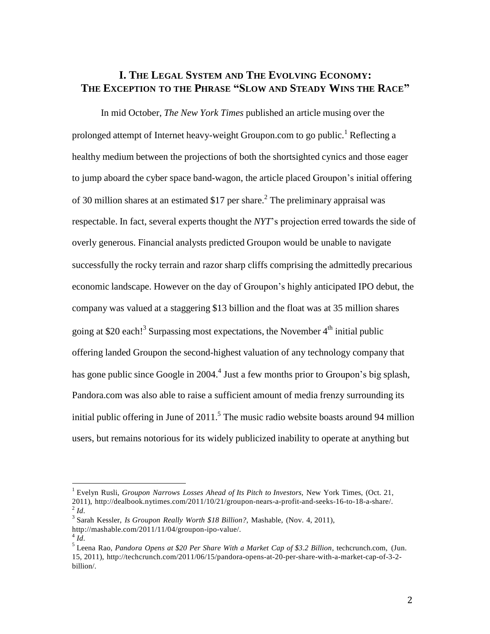# **I. THE LEGAL SYSTEM AND THE EVOLVING ECONOMY: THE EXCEPTION TO THE PHRASE "SLOW AND STEADY WINS THE RACE"**

In mid October, *The New York Times* published an article musing over the prolonged attempt of Internet heavy-weight Groupon.com to go public.<sup>1</sup> Reflecting a healthy medium between the projections of both the shortsighted cynics and those eager to jump aboard the cyber space band-wagon, the article placed Groupon's initial offering of 30 million shares at an estimated \$17 per share.<sup>2</sup> The preliminary appraisal was respectable. In fact, several experts thought the *NYT*'s projection erred towards the side of overly generous. Financial analysts predicted Groupon would be unable to navigate successfully the rocky terrain and razor sharp cliffs comprising the admittedly precarious economic landscape. However on the day of Groupon's highly anticipated IPO debut, the company was valued at a staggering \$13 billion and the float was at 35 million shares going at \$20 each!<sup>3</sup> Surpassing most expectations, the November 4<sup>th</sup> initial public offering landed Groupon the second-highest valuation of any technology company that has gone public since Google in 2004.<sup>4</sup> Just a few months prior to Groupon's big splash, Pandora.com was also able to raise a sufficient amount of media frenzy surrounding its initial public offering in June of  $2011$ .<sup>5</sup> The music radio website boasts around 94 million users, but remains notorious for its widely publicized inability to operate at anything but

<sup>1</sup> Evelyn Rusli, *Groupon Narrows Losses Ahead of Its Pitch to Investors*, New York Times, (Oct. 21, 2011), [http://dealbook.nytimes.com/2011/10/21/groupon-nears-a-profit-and-seeks-16-to-18-a-share/.](http://dealbook.nytimes.com/2011/10/21/groupon-nears-a-profit-and-seeks-16-to-18-a-share/)  $^{2}$ *Id*.

<sup>3</sup> Sarah Kessler, *Is Groupon Really Worth \$18 Billion?*, Mashable, (Nov. 4, 2011),

[http://mashable.com/2011/11/04/groupon-ipo-value/.](http://mashable.com/2011/11/04/groupon-ipo-value/)

 $^{4}$ *Id*.

<sup>5</sup> Leena Rao, *Pandora Opens at \$20 Per Share With a Market Cap of \$3.2 Billion*, techcrunch.com, (Jun. 15, 2011), [http://techcrunch.com/2011/06/15/pandora-opens-at-20-per-share-with-a-market-cap-of-3-2](http://techcrunch.com/2011/06/15/pandora-opens-at-20-per-share-with-a-market-cap-of-3-2-) billion/.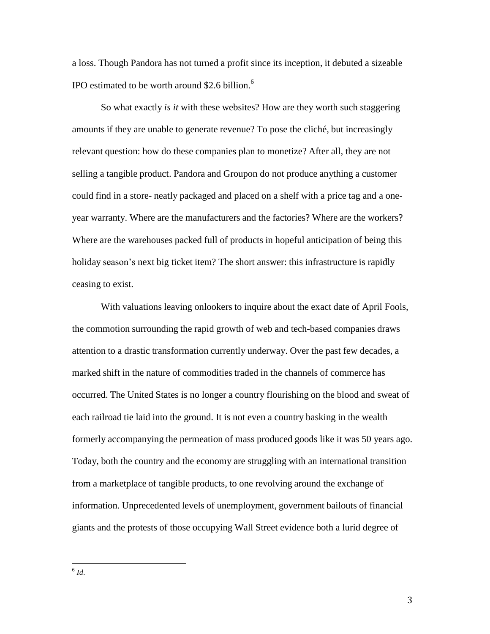a loss. Though Pandora has not turned a profit since its inception, it debuted a sizeable IPO estimated to be worth around \$2.6 billion. 6

So what exactly *is it* with these websites? How are they worth such staggering amounts if they are unable to generate revenue? To pose the cliché, but increasingly relevant question: how do these companies plan to monetize? After all, they are not selling a tangible product. Pandora and Groupon do not produce anything a customer could find in a store- neatly packaged and placed on a shelf with a price tag and a oneyear warranty. Where are the manufacturers and the factories? Where are the workers? Where are the warehouses packed full of products in hopeful anticipation of being this holiday season's next big ticket item? The short answer: this infrastructure is rapidly ceasing to exist.

With valuations leaving onlookers to inquire about the exact date of April Fools, the commotion surrounding the rapid growth of web and tech-based companies draws attention to a drastic transformation currently underway. Over the past few decades, a marked shift in the nature of commodities traded in the channels of commerce has occurred. The United States is no longer a country flourishing on the blood and sweat of each railroad tie laid into the ground. It is not even a country basking in the wealth formerly accompanying the permeation of mass produced goods like it was 50 years ago. Today, both the country and the economy are struggling with an international transition from a marketplace of tangible products, to one revolving around the exchange of information. Unprecedented levels of unemployment, government bailouts of financial giants and the protests of those occupying Wall Street evidence both a lurid degree of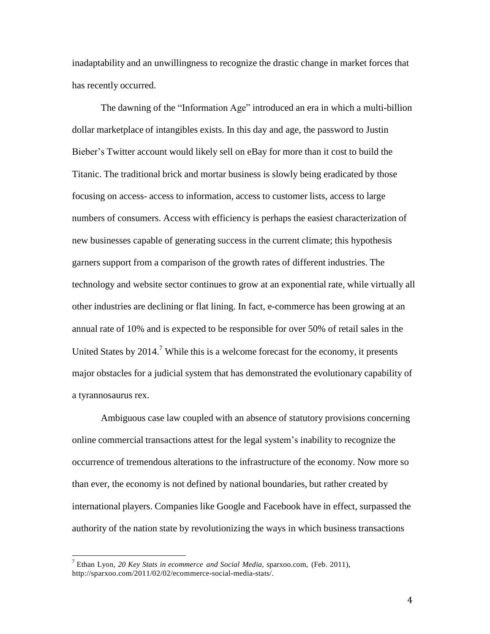inadaptability and an unwillingness to recognize the drastic change in market forces that has recently occurred.

The dawning of the "Information Age" introduced an era in which a multi-billion dollar marketplace of intangibles exists. In this day and age, the password to Justin Bieber's Twitter account would likely sell on eBay for more than it cost to build the Titanic. The traditional brick and mortar business is slowly being eradicated by those focusing on access- access to information, access to customer lists, access to large numbers of consumers. Access with efficiency is perhaps the easiest characterization of new businesses capable of generating success in the current climate; this hypothesis garners support from a comparison of the growth rates of different industries. The technology and website sector continues to grow at an exponential rate, while virtually all other industries are declining or flat lining. In fact, e-commerce has been growing at an annual rate of 10% and is expected to be responsible for over 50% of retail sales in the United States by  $2014$ .<sup>7</sup> While this is a welcome forecast for the economy, it presents major obstacles for a judicial system that has demonstrated the evolutionary capability of a tyrannosaurus rex.

Ambiguous case law coupled with an absence of statutory provisions concerning online commercial transactions attest for the legal system's inability to recognize the occurrence of tremendous alterations to the infrastructure of the economy. Now more so than ever, the economy is not defined by national boundaries, but rather created by international players. Companies like Google and Facebook have in effect, surpassed the authority of the nation state by revolutionizing the ways in which business transactions

<sup>7</sup> Ethan Lyon, *20 Key Stats in ecommerce and Social Media*, sparxoo.com, (Feb. 2011), [http://sparxoo.com/2011/02/02/ecommerce-social-media-stats/.](http://sparxoo.com/2011/02/02/ecommerce-social-media-stats/)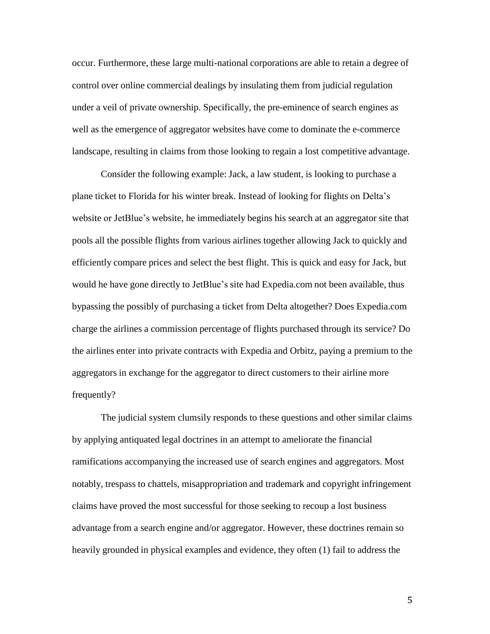occur. Furthermore, these large multi-national corporations are able to retain a degree of control over online commercial dealings by insulating them from judicial regulation under a veil of private ownership. Specifically, the pre-eminence of search engines as well as the emergence of aggregator websites have come to dominate the e-commerce landscape, resulting in claims from those looking to regain a lost competitive advantage.

Consider the following example: Jack, a law student, is looking to purchase a plane ticket to Florida for his winter break. Instead of looking for flights on Delta's website or JetBlue's website, he immediately begins his search at an aggregator site that pools all the possible flights from various airlines together allowing Jack to quickly and efficiently compare prices and select the best flight. This is quick and easy for Jack, but would he have gone directly to JetBlue's site had Expedia.com not been available, thus bypassing the possibly of purchasing a ticket from Delta altogether? Does Expedia.com charge the airlines a commission percentage of flights purchased through its service? Do the airlines enter into private contracts with Expedia and Orbitz, paying a premium to the aggregators in exchange for the aggregator to direct customers to their airline more frequently?

The judicial system clumsily responds to these questions and other similar claims by applying antiquated legal doctrines in an attempt to ameliorate the financial ramifications accompanying the increased use of search engines and aggregators. Most notably, trespass to chattels, misappropriation and trademark and copyright infringement claims have proved the most successful for those seeking to recoup a lost business advantage from a search engine and/or aggregator. However, these doctrines remain so heavily grounded in physical examples and evidence, they often (1) fail to address the

5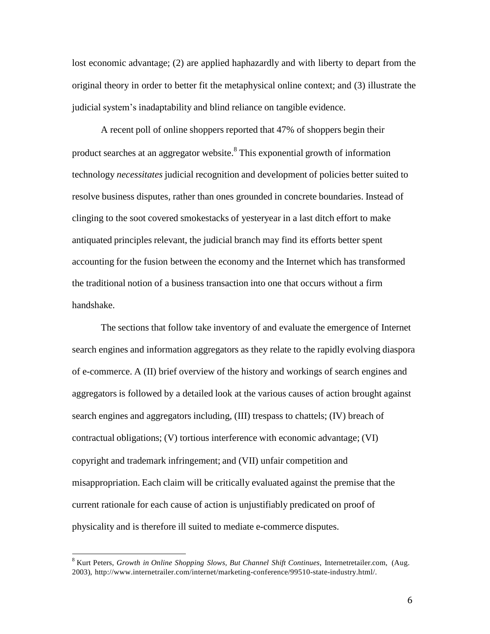lost economic advantage; (2) are applied haphazardly and with liberty to depart from the original theory in order to better fit the metaphysical online context; and (3) illustrate the judicial system's inadaptability and blind reliance on tangible evidence.

A recent poll of online shoppers reported that 47% of shoppers begin their product searches at an aggregator website.<sup>8</sup> This exponential growth of information technology *necessitates* judicial recognition and development of policies better suited to resolve business disputes, rather than ones grounded in concrete boundaries. Instead of clinging to the soot covered smokestacks of yesteryear in a last ditch effort to make antiquated principles relevant, the judicial branch may find its efforts better spent accounting for the fusion between the economy and the Internet which has transformed the traditional notion of a business transaction into one that occurs without a firm handshake.

The sections that follow take inventory of and evaluate the emergence of Internet search engines and information aggregators as they relate to the rapidly evolving diaspora of e-commerce. A (II) brief overview of the history and workings of search engines and aggregators is followed by a detailed look at the various causes of action brought against search engines and aggregators including, (III) trespass to chattels; (IV) breach of contractual obligations; (V) tortious interference with economic advantage; (VI) copyright and trademark infringement; and (VII) unfair competition and misappropriation. Each claim will be critically evaluated against the premise that the current rationale for each cause of action is unjustifiably predicated on proof of physicality and is therefore ill suited to mediate e-commerce disputes.

<sup>8</sup> Kurt Peters, *Growth in Online Shopping Slows, But Channel Shift Continues*, Internetretailer.com, (Aug. 2003), [http://www.internetrailer.com/internet/marketing-conference/99510-state-industry.html/.](http://www.internetrailer.com/internet/marketing-conference/99510-state-industry.html/)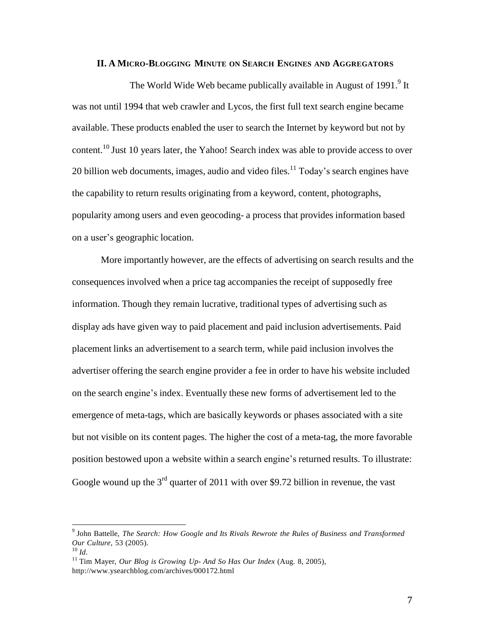# **II. A MICRO-BLOGGING MINUTE ON SEARCH ENGINES AND AGGREGATORS**

The World Wide Web became publically available in August of 1991.<sup>9</sup> It was not until 1994 that web crawler and Lycos, the first full text search engine became available. These products enabled the user to search the Internet by keyword but not by content.<sup>10</sup> Just 10 years later, the Yahoo! Search index was able to provide access to over 20 billion web documents, images, audio and video files. $11$  Today's search engines have the capability to return results originating from a keyword, content, photographs, popularity among users and even geocoding- a process that provides information based on a user's geographic location.

More importantly however, are the effects of advertising on search results and the consequences involved when a price tag accompanies the receipt of supposedly free information. Though they remain lucrative, traditional types of advertising such as display ads have given way to paid placement and paid inclusion advertisements. Paid placement links an advertisement to a search term, while paid inclusion involves the advertiser offering the search engine provider a fee in order to have his website included on the search engine's index. Eventually these new forms of advertisement led to the emergence of meta-tags, which are basically keywords or phases associated with a site but not visible on its content pages. The higher the cost of a meta-tag, the more favorable position bestowed upon a website within a search engine's returned results. To illustrate: Google wound up the  $3<sup>rd</sup>$  quarter of 2011 with over \$9.72 billion in revenue, the vast

<sup>9</sup> John Battelle, *The Search: How Google and Its Rivals Rewrote the Rules of Business and Transformed Our Culture*, 53 (2005).

<sup>10</sup> *Id*.

<sup>11</sup> Tim Mayer, *Our Blog is Growing Up- And So Has Our Index* (Aug. 8, 2005), <http://www.ysearchblog.com/archives/000172.html>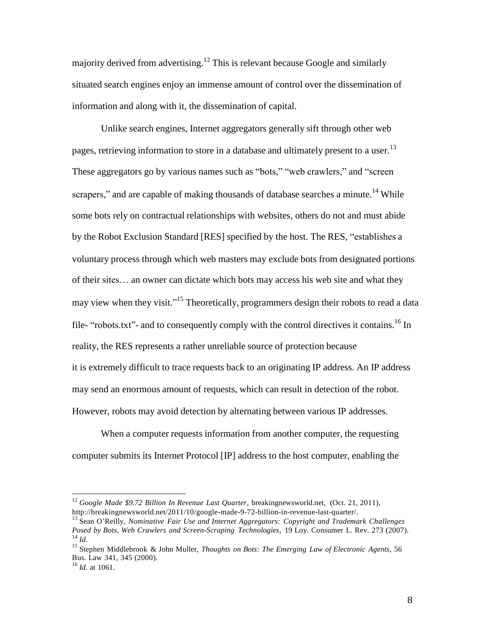majority derived from advertising.<sup>12</sup> This is relevant because Google and similarly situated search engines enjoy an immense amount of control over the dissemination of information and along with it, the dissemination of capital.

Unlike search engines, Internet aggregators generally sift through other web pages, retrieving information to store in a database and ultimately present to a user.<sup>13</sup> These aggregators go by various names such as "bots," "web crawlers," and "screen scrapers," and are capable of making thousands of database searches a minute.<sup>14</sup> While some bots rely on contractual relationships with websites, others do not and must abide by the Robot Exclusion Standard [RES] specified by the host. The RES, "establishes a voluntary process through which web masters may exclude bots from designated portions of their sites… an owner can dictate which bots may access his web site and what they may view when they visit."<sup>15</sup> Theoretically, programmers design their robots to read a data file- "robots.txt"- and to consequently comply with the control directives it contains.<sup>16</sup> In reality, the RES represents a rather unreliable source of protection because it is extremely difficult to trace requests back to an originating IP address. An IP address may send an enormous amount of requests, which can result in detection of the robot. However, robots may avoid detection by alternating between various IP addresses.

When a computer requests information from another computer, the requesting computer submits its Internet Protocol [IP] address to the host computer, enabling the

<sup>12</sup> *Google Made \$9.72 Billion In Revenue Last Quarter*, breakingnewsworld.net, (Oct. 21, 2011), [http://breakingnewsworld.net/2011/10/google-made-9-72-billion-in-revenue-last-quarter/.](http://breakingnewsworld.net/2011/10/google-made-9-72-billion-in-revenue-last-quarter/)

<sup>13</sup> Sean O'Reilly, *Nominative Fair Use and Internet Aggregators: Copyright and Trademark Challenges Posed by Bots, Web Crawlers and Screen-Scraping Technologies*, 19 Loy. Consumer L. Rev. 273 (2007). 14 *Id*.

<sup>15</sup> Stephen Middlebrook & John Muller, *Thoughts on Bots: The Emerging Law of Electronic Agents*, 56 Bus. Law 341, 345 (2000).

<sup>16</sup> *Id*. at 1061.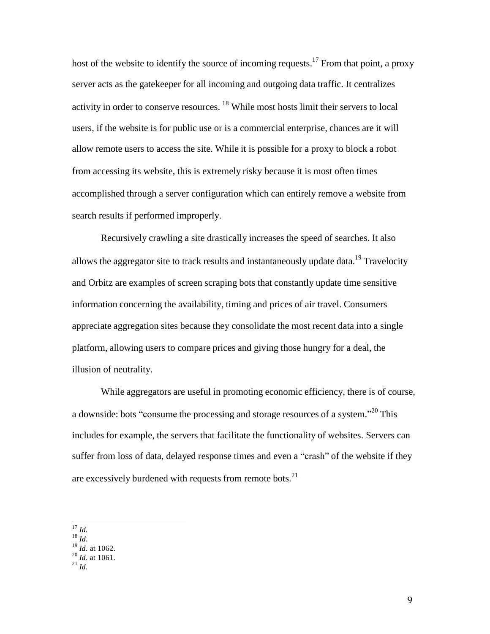host of the website to identify the source of incoming requests.<sup>17</sup> From that point, a proxy server acts as the gatekeeper for all incoming and outgoing data traffic. It centralizes activity in order to conserve resources. <sup>18</sup> While most hosts limit their servers to local users, if the website is for public use or is a commercial enterprise, chances are it will allow remote users to access the site. While it is possible for a proxy to block a robot from accessing its website, this is extremely risky because it is most often times accomplished through a server configuration which can entirely remove a website from search results if performed improperly.

Recursively crawling a site drastically increases the speed of searches. It also allows the aggregator site to track results and instantaneously update data.<sup>19</sup> Travelocity and Orbitz are examples of screen scraping bots that constantly update time sensitive information concerning the availability, timing and prices of air travel. Consumers appreciate aggregation sites because they consolidate the most recent data into a single platform, allowing users to compare prices and giving those hungry for a deal, the illusion of neutrality.

While aggregators are useful in promoting economic efficiency, there is of course, a downside: bots "consume the processing and storage resources of a system."<sup>20</sup> This includes for example, the servers that facilitate the functionality of websites. Servers can suffer from loss of data, delayed response times and even a "crash" of the website if they are excessively burdened with requests from remote bots.<sup>21</sup>

17 *Id.*

<sup>18</sup> *Id*.

<sup>19</sup> *Id*. at 1062.

<sup>20</sup> *Id*. at 1061.

<sup>21</sup> *Id*.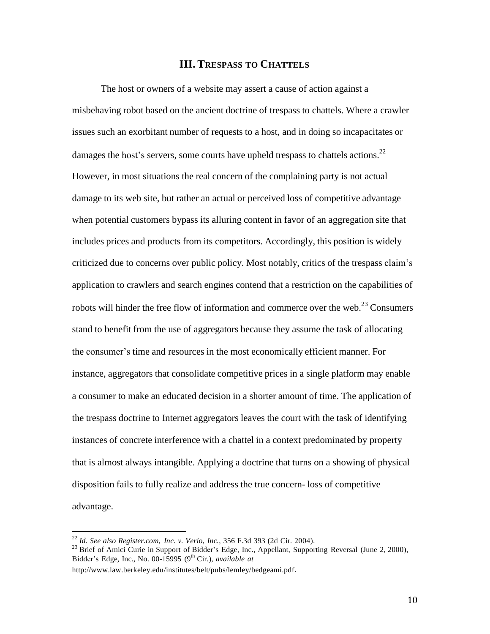# **III. TRESPASS TO CHATTELS**

The host or owners of a website may assert a cause of action against a misbehaving robot based on the ancient doctrine of trespass to chattels. Where a crawler issues such an exorbitant number of requests to a host, and in doing so incapacitates or damages the host's servers, some courts have upheld trespass to chattels actions.<sup>22</sup> However, in most situations the real concern of the complaining party is not actual damage to its web site, but rather an actual or perceived loss of competitive advantage when potential customers bypass its alluring content in favor of an aggregation site that includes prices and products from its competitors. Accordingly, this position is widely criticized due to concerns over public policy. Most notably, critics of the trespass claim's application to crawlers and search engines contend that a restriction on the capabilities of robots will hinder the free flow of information and commerce over the web.<sup>23</sup> Consumers stand to benefit from the use of aggregators because they assume the task of allocating the consumer's time and resources in the most economically efficient manner. For instance, aggregators that consolidate competitive prices in a single platform may enable a consumer to make an educated decision in a shorter amount of time. The application of the trespass doctrine to Internet aggregators leaves the court with the task of identifying instances of concrete interference with a chattel in a context predominated by property that is almost always intangible. Applying a doctrine that turns on a showing of physical disposition fails to fully realize and address the true concern- loss of competitive advantage.

<sup>22</sup> *Id*. *See also Register.com, Inc. v. Verio, Inc.*, 356 F.3d 393 (2d Cir. 2004).

<sup>&</sup>lt;sup>23</sup> Brief of Amici Curie in Support of Bidder's Edge, Inc., Appellant, Supporting Reversal (June 2, 2000), Bidder's Edge, Inc., No. 00-15995 (9 th Cir.), *available at*

<http://www.law.berkeley.edu/institutes/belt/pubs/lemley/bedgeami.pdf>.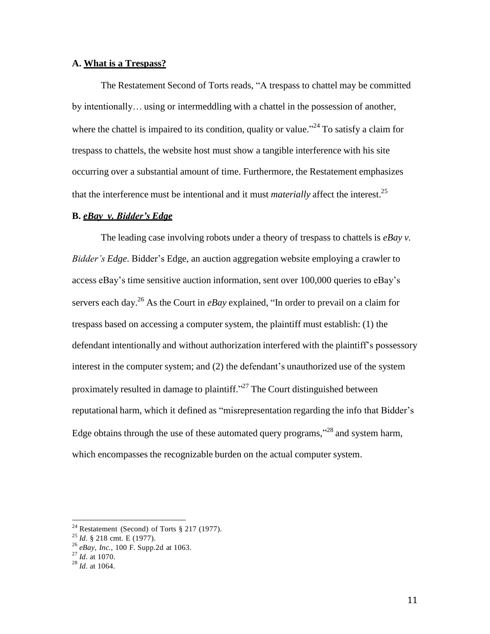# **A. What is a Trespass?**

The Restatement Second of Torts reads, "A trespass to chattel may be committed by intentionally… using or intermeddling with a chattel in the possession of another, where the chattel is impaired to its condition, quality or value.<sup> $24$ </sup> To satisfy a claim for trespass to chattels, the website host must show a tangible interference with his site occurring over a substantial amount of time. Furthermore, the Restatement emphasizes that the interference must be intentional and it must *materially* affect the interest. 25

### **B.** *eBay v. Bidder's Edge*

The leading case involving robots under a theory of trespass to chattels is *eBay v. Bidder's Edge*. Bidder's Edge, an auction aggregation website employing a crawler to access eBay's time sensitive auction information, sent over 100,000 queries to eBay's servers each day. <sup>26</sup> As the Court in *eBay* explained, "In order to prevail on a claim for trespass based on accessing a computer system, the plaintiff must establish: (1) the defendant intentionally and without authorization interfered with the plaintiff's possessory interest in the computer system; and (2) the defendant's unauthorized use of the system proximately resulted in damage to plaintiff."<sup>27</sup> The Court distinguished between reputational harm, which it defined as "misrepresentation regarding the info that Bidder's Edge obtains through the use of these automated query programs,<sup> $28$ </sup> and system harm, which encompasses the recognizable burden on the actual computer system.

<sup>&</sup>lt;sup>24</sup> Restatement (Second) of Torts  $\S 217$  (1977).

<sup>25</sup> *Id*. § 218 cmt. E (1977).

<sup>26</sup> *eBay, Inc.*, 100 F. Supp.2d at 1063.

<sup>27</sup> *Id*. at 1070.

<sup>28</sup> *Id*. at 1064.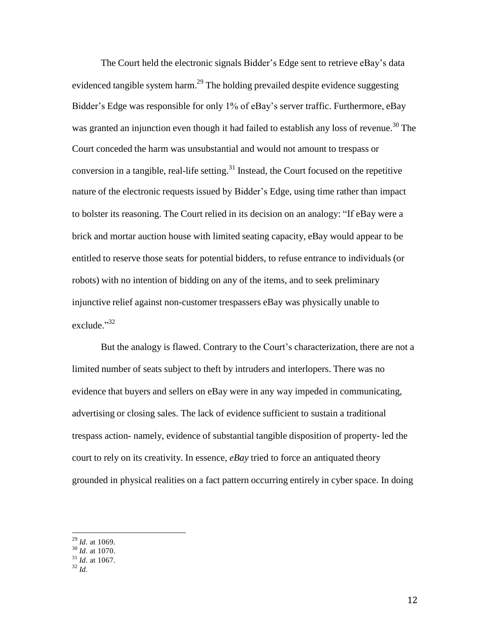The Court held the electronic signals Bidder's Edge sent to retrieve eBay's data evidenced tangible system harm.<sup>29</sup> The holding prevailed despite evidence suggesting Bidder's Edge was responsible for only 1% of eBay's server traffic. Furthermore, eBay was granted an injunction even though it had failed to establish any loss of revenue.<sup>30</sup> The Court conceded the harm was unsubstantial and would not amount to trespass or conversion in a tangible, real-life setting. $31$  Instead, the Court focused on the repetitive nature of the electronic requests issued by Bidder's Edge, using time rather than impact to bolster its reasoning. The Court relied in its decision on an analogy: "If eBay were a brick and mortar auction house with limited seating capacity, eBay would appear to be entitled to reserve those seats for potential bidders, to refuse entrance to individuals (or robots) with no intention of bidding on any of the items, and to seek preliminary injunctive relief against non-customer trespassers eBay was physically unable to exclude."<sup>32</sup>

But the analogy is flawed. Contrary to the Court's characterization, there are not a limited number of seats subject to theft by intruders and interlopers. There was no evidence that buyers and sellers on eBay were in any way impeded in communicating, advertising or closing sales. The lack of evidence sufficient to sustain a traditional trespass action- namely, evidence of substantial tangible disposition of property- led the court to rely on its creativity. In essence, *eBay* tried to force an antiquated theory grounded in physical realities on a fact pattern occurring entirely in cyber space. In doing

 29 *Id*. at 1069.

<sup>30</sup> *Id*. at 1070.

<sup>31</sup> *Id*. at 1067.

<sup>32</sup> *Id*.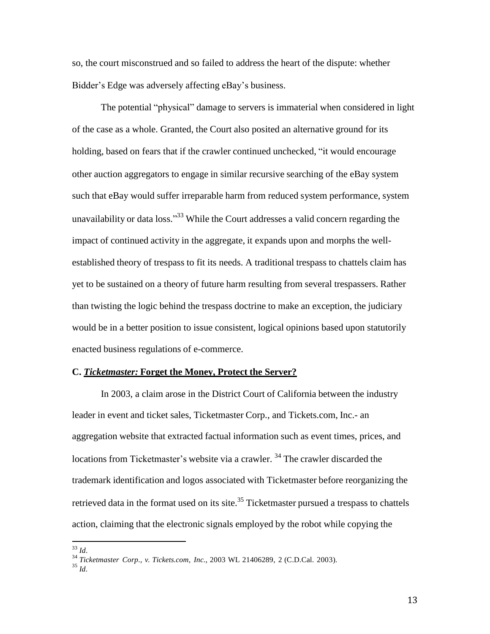so, the court misconstrued and so failed to address the heart of the dispute: whether Bidder's Edge was adversely affecting eBay's business.

The potential "physical" damage to servers is immaterial when considered in light of the case as a whole. Granted, the Court also posited an alternative ground for its holding, based on fears that if the crawler continued unchecked, "it would encourage other auction aggregators to engage in similar recursive searching of the eBay system such that eBay would suffer irreparable harm from reduced system performance, system unavailability or data loss."<sup>33</sup> While the Court addresses a valid concern regarding the impact of continued activity in the aggregate, it expands upon and morphs the wellestablished theory of trespass to fit its needs. A traditional trespass to chattels claim has yet to be sustained on a theory of future harm resulting from several trespassers. Rather than twisting the logic behind the trespass doctrine to make an exception, the judiciary would be in a better position to issue consistent, logical opinions based upon statutorily enacted business regulations of e-commerce.

#### **C.** *Ticketmaster:* **Forget the Money, Protect the Server?**

In 2003, a claim arose in the District Court of California between the industry leader in event and ticket sales, Ticketmaster Corp., and Tickets.com, Inc.- an aggregation website that extracted factual information such as event times, prices, and locations from Ticketmaster's website via a crawler.<sup>34</sup> The crawler discarded the trademark identification and logos associated with Ticketmaster before reorganizing the retrieved data in the format used on its site.<sup>35</sup> Ticketmaster pursued a trespass to chattels action, claiming that the electronic signals employed by the robot while copying the

 33 *Id*.

<sup>34</sup> *Ticketmaster Corp., v. Tickets.com, Inc.*, 2003 WL 21406289, 2 (C.D.Cal. 2003).

<sup>35</sup> *Id*.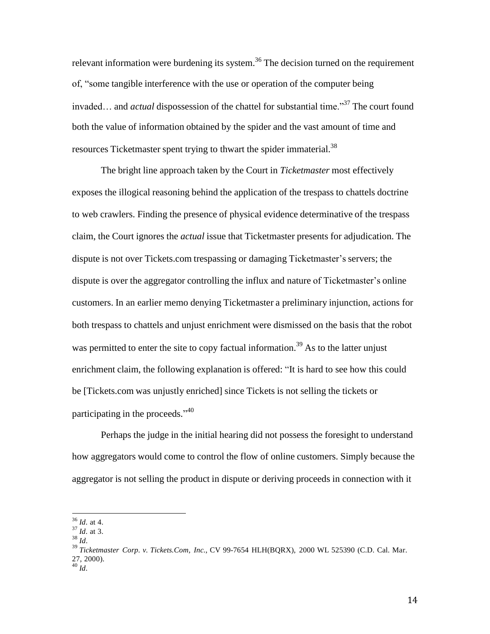relevant information were burdening its system.<sup>36</sup> The decision turned on the requirement of, "some tangible interference with the use or operation of the computer being invaded… and *actual* dispossession of the chattel for substantial time."<sup>37</sup> The court found both the value of information obtained by the spider and the vast amount of time and resources Ticketmaster spent trying to thwart the spider immaterial.<sup>38</sup>

The bright line approach taken by the Court in *Ticketmaster* most effectively exposes the illogical reasoning behind the application of the trespass to chattels doctrine to web crawlers. Finding the presence of physical evidence determinative of the trespass claim, the Court ignores the *actual* issue that Ticketmaster presents for adjudication. The dispute is not over Tickets.com trespassing or damaging Ticketmaster's servers; the dispute is over the aggregator controlling the influx and nature of Ticketmaster's online customers. In an earlier memo denying Ticketmaster a preliminary injunction, actions for both trespass to chattels and unjust enrichment were dismissed on the basis that the robot was permitted to enter the site to copy factual information.<sup>39</sup> As to the latter unjust enrichment claim, the following explanation is offered: "It is hard to see how this could be [Tickets.com was unjustly enriched] since Tickets is not selling the tickets or participating in the proceeds."<sup>40</sup>

Perhaps the judge in the initial hearing did not possess the foresight to understand how aggregators would come to control the flow of online customers. Simply because the aggregator is not selling the product in dispute or deriving proceeds in connection with it

 36 *Id*. at 4.

<sup>37</sup> *Id*. at 3.

<sup>38</sup> *Id*.

<sup>39</sup> *Ticketmaster Corp. v. Tickets.Com, Inc.*, CV 99-7654 HLH(BQRX), 2000 WL 525390 (C.D. Cal. Mar. 27, 2000).

<sup>40</sup> *Id*.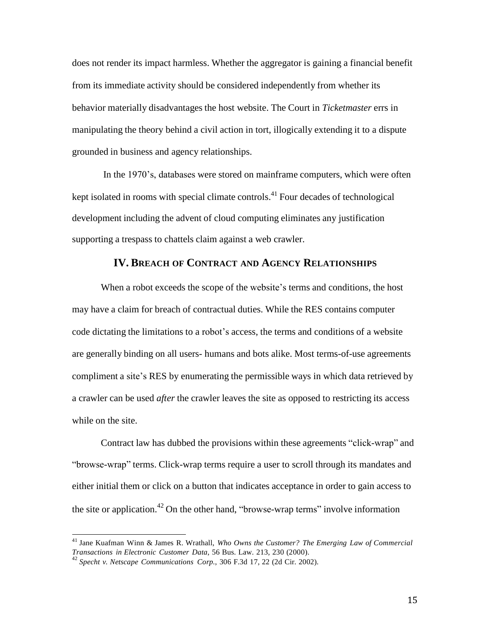does not render its impact harmless. Whether the aggregator is gaining a financial benefit from its immediate activity should be considered independently from whether its behavior materially disadvantages the host website. The Court in *Ticketmaster* errs in manipulating the theory behind a civil action in tort, illogically extending it to a dispute grounded in business and agency relationships.

In the 1970's, databases were stored on mainframe computers, which were often kept isolated in rooms with special climate controls.<sup>41</sup> Four decades of technological development including the advent of cloud computing eliminates any justification supporting a trespass to chattels claim against a web crawler.

# **IV. BREACH OF CONTRACT AND AGENCY RELATIONSHIPS**

When a robot exceeds the scope of the website's terms and conditions, the host may have a claim for breach of contractual duties. While the RES contains computer code dictating the limitations to a robot's access, the terms and conditions of a website are generally binding on all users- humans and bots alike. Most terms-of-use agreements compliment a site's RES by enumerating the permissible ways in which data retrieved by a crawler can be used *after* the crawler leaves the site as opposed to restricting its access while on the site.

Contract law has dubbed the provisions within these agreements "click-wrap" and "browse-wrap" terms. Click-wrap terms require a user to scroll through its mandates and either initial them or click on a button that indicates acceptance in order to gain access to the site or application.<sup>42</sup> On the other hand, "browse-wrap terms" involve information

<sup>41</sup> Jane Kuafman Winn & James R. Wrathall, *Who Owns the Customer? The Emerging Law of Commercial Transactions in Electronic Customer Data*, 56 Bus. Law. 213, 230 (2000). 42 *Specht v. Netscape Communications Corp.*, 306 F.3d 17, 22 (2d Cir. 2002).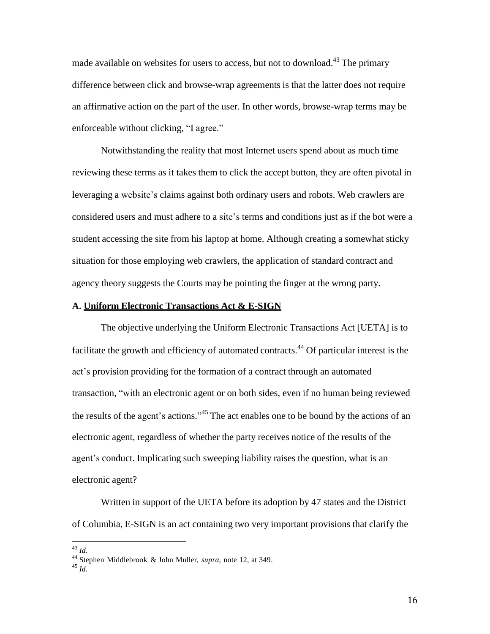made available on websites for users to access, but not to download.<sup>43</sup> The primary difference between click and browse-wrap agreements is that the latter does not require an affirmative action on the part of the user. In other words, browse-wrap terms may be enforceable without clicking, "I agree."

Notwithstanding the reality that most Internet users spend about as much time reviewing these terms as it takes them to click the accept button, they are often pivotal in leveraging a website's claims against both ordinary users and robots. Web crawlers are considered users and must adhere to a site's terms and conditions just as if the bot were a student accessing the site from his laptop at home. Although creating a somewhat sticky situation for those employing web crawlers, the application of standard contract and agency theory suggests the Courts may be pointing the finger at the wrong party.

# **A. Uniform Electronic Transactions Act & E-SIGN**

The objective underlying the Uniform Electronic Transactions Act [UETA] is to facilitate the growth and efficiency of automated contracts.<sup>44</sup> Of particular interest is the act's provision providing for the formation of a contract through an automated transaction, "with an electronic agent or on both sides, even if no human being reviewed the results of the agent's actions."<sup>45</sup> The act enables one to be bound by the actions of an electronic agent, regardless of whether the party receives notice of the results of the agent's conduct. Implicating such sweeping liability raises the question, what is an electronic agent?

Written in support of the UETA before its adoption by 47 states and the District of Columbia, E-SIGN is an act containing two very important provisions that clarify the

 43 *Id*.

<sup>44</sup> Stephen Middlebrook & John Muller, *supra*, note 12, at 349. 45 *Id*.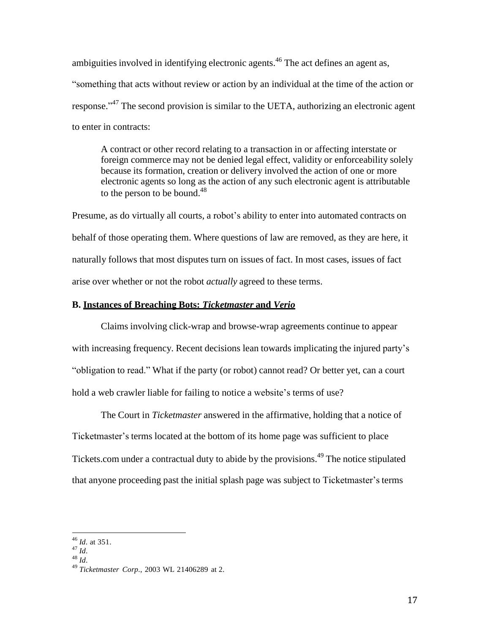ambiguities involved in identifying electronic agents.<sup>46</sup> The act defines an agent as, "something that acts without review or action by an individual at the time of the action or response."<sup>47</sup> The second provision is similar to the UETA, authorizing an electronic agent to enter in contracts:

A contract or other record relating to a transaction in or affecting interstate or foreign commerce may not be denied legal effect, validity or enforceability solely because its formation, creation or delivery involved the action of one or more electronic agents so long as the action of any such electronic agent is attributable to the person to be bound. $48$ 

Presume, as do virtually all courts, a robot's ability to enter into automated contracts on behalf of those operating them. Where questions of law are removed, as they are here, it naturally follows that most disputes turn on issues of fact. In most cases, issues of fact arise over whether or not the robot *actually* agreed to these terms.

# **B. Instances of Breaching Bots:** *Ticketmaster* **and** *Verio*

Claims involving click-wrap and browse-wrap agreements continue to appear with increasing frequency. Recent decisions lean towards implicating the injured party's "obligation to read." What if the party (or robot) cannot read? Or better yet, can a court hold a web crawler liable for failing to notice a website's terms of use?

The Court in *Ticketmaster* answered in the affirmative, holding that a notice of Ticketmaster's terms located at the bottom of its home page was sufficient to place Tickets.com under a contractual duty to abide by the provisions.<sup>49</sup> The notice stipulated that anyone proceeding past the initial splash page was subject to Ticketmaster's terms

48 *Id*.

<sup>46</sup> *Id*. at 351.

<sup>47</sup> *Id*.

<sup>49</sup> *Ticketmaster Corp.*, 2003 WL 21406289 at 2.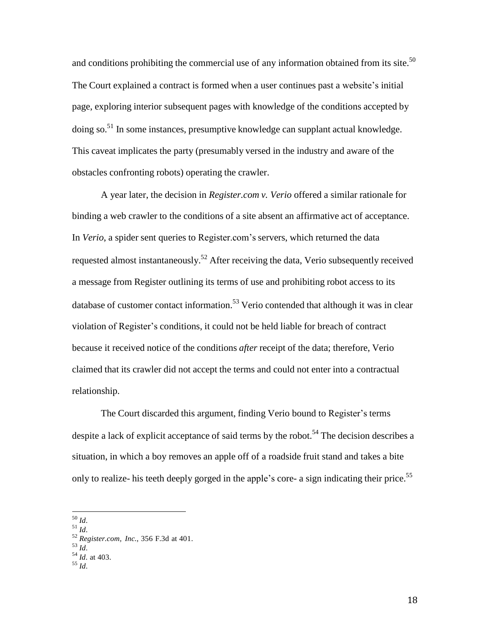and conditions prohibiting the commercial use of any information obtained from its site.<sup>50</sup> The Court explained a contract is formed when a user continues past a website's initial page, exploring interior subsequent pages with knowledge of the conditions accepted by doing so.<sup>51</sup> In some instances, presumptive knowledge can supplant actual knowledge. This caveat implicates the party (presumably versed in the industry and aware of the obstacles confronting robots) operating the crawler.

A year later, the decision in *Register.com v. Verio* offered a similar rationale for binding a web crawler to the conditions of a site absent an affirmative act of acceptance. In *Verio*, a spider sent queries to Register.com's servers, which returned the data requested almost instantaneously.<sup>52</sup> After receiving the data, Verio subsequently received a message from Register outlining its terms of use and prohibiting robot access to its database of customer contact information.<sup>53</sup> Verio contended that although it was in clear violation of Register's conditions, it could not be held liable for breach of contract because it received notice of the conditions *after* receipt of the data; therefore, Verio claimed that its crawler did not accept the terms and could not enter into a contractual relationship.

The Court discarded this argument, finding Verio bound to Register's terms despite a lack of explicit acceptance of said terms by the robot.<sup>54</sup> The decision describes a situation, in which a boy removes an apple off of a roadside fruit stand and takes a bite only to realize- his teeth deeply gorged in the apple's core- a sign indicating their price.<sup>55</sup>

51 *Id*.

 50 *Id*.

<sup>52</sup> *Register.com, Inc.*, 356 F.3d at 401.

<sup>53</sup> *Id*.

<sup>54</sup> *Id*. at 403.

<sup>55</sup> *Id*.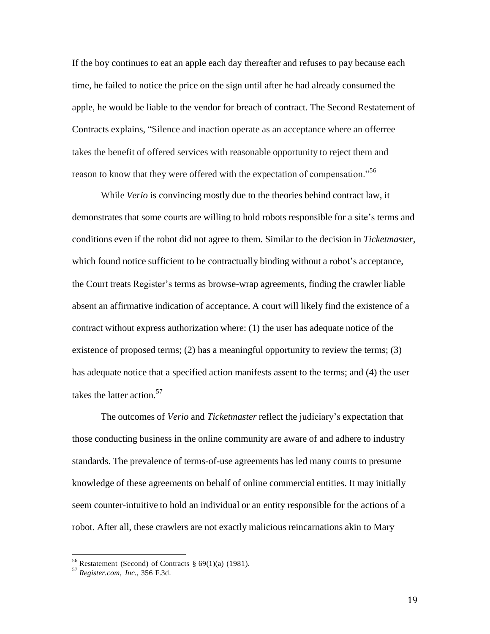If the boy continues to eat an apple each day thereafter and refuses to pay because each time, he failed to notice the price on the sign until after he had already consumed the apple, he would be liable to the vendor for breach of contract. The Second Restatement of Contracts explains, "Silence and inaction operate as an acceptance where an offerree takes the benefit of offered services with reasonable opportunity to reject them and reason to know that they were offered with the expectation of compensation.<sup>56</sup>

While *Verio* is convincing mostly due to the theories behind contract law, it demonstrates that some courts are willing to hold robots responsible for a site's terms and conditions even if the robot did not agree to them. Similar to the decision in *Ticketmaster,*  which found notice sufficient to be contractually binding without a robot's acceptance, the Court treats Register's terms as browse-wrap agreements, finding the crawler liable absent an affirmative indication of acceptance. A court will likely find the existence of a contract without express authorization where: (1) the user has adequate notice of the existence of proposed terms; (2) has a meaningful opportunity to review the terms; (3) has adequate notice that a specified action manifests assent to the terms; and (4) the user takes the latter action. 57

The outcomes of *Verio* and *Ticketmaster* reflect the judiciary's expectation that those conducting business in the online community are aware of and adhere to industry standards. The prevalence of terms-of-use agreements has led many courts to presume knowledge of these agreements on behalf of online commercial entities. It may initially seem counter-intuitive to hold an individual or an entity responsible for the actions of a robot. After all, these crawlers are not exactly malicious reincarnations akin to Mary

<sup>&</sup>lt;sup>56</sup> Restatement (Second) of Contracts  $\S 69(1)(a)$  (1981).

<sup>57</sup> *Register.com, Inc.*, 356 F.3d.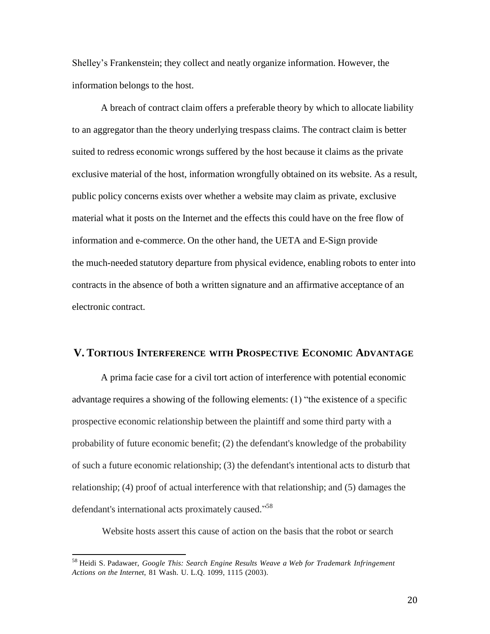Shelley's Frankenstein; they collect and neatly organize information. However, the information belongs to the host.

A breach of contract claim offers a preferable theory by which to allocate liability to an aggregator than the theory underlying trespass claims. The contract claim is better suited to redress economic wrongs suffered by the host because it claims as the private exclusive material of the host, information wrongfully obtained on its website. As a result, public policy concerns exists over whether a website may claim as private, exclusive material what it posts on the Internet and the effects this could have on the free flow of information and e-commerce. On the other hand, the UETA and E-Sign provide the much-needed statutory departure from physical evidence, enabling robots to enter into contracts in the absence of both a written signature and an affirmative acceptance of an electronic contract.

### **V. TORTIOUS INTERFERENCE WITH PROSPECTIVE ECONOMIC ADVANTAGE**

A prima facie case for a civil tort action of interference with potential economic advantage requires a showing of the following elements: (1) "the existence of a specific prospective economic relationship between the plaintiff and some third party with a probability of future economic benefit; (2) the defendant's knowledge of the probability of such a future economic relationship; (3) the defendant's intentional acts to disturb that relationship; (4) proof of actual interference with that relationship; and (5) damages the defendant's international acts proximately caused."<sup>58</sup>

Website hosts assert this cause of action on the basis that the robot or search

<sup>58</sup> Heidi S. Padawaer, *Google This: Search Engine Results Weave a Web for Trademark Infringement Actions on the Internet*, 81 Wash. U. L.Q. 1099, 1115 (2003).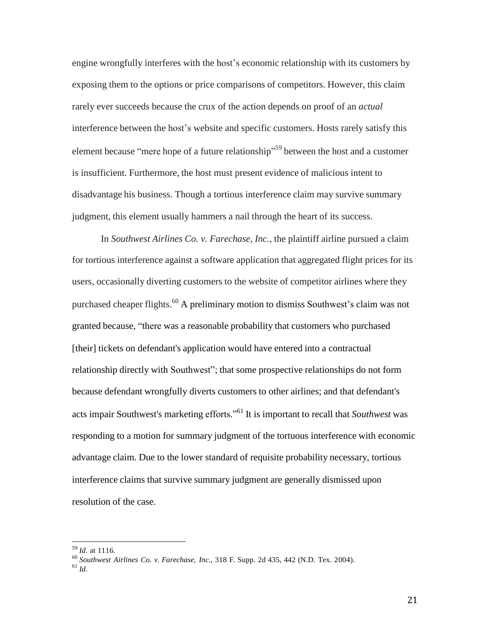engine wrongfully interferes with the host's economic relationship with its customers by exposing them to the options or price comparisons of competitors. However, this claim rarely ever succeeds because the crux of the action depends on proof of an *actual*  interference between the host's website and specific customers. Hosts rarely satisfy this element because "mere hope of a future relationship"<sup>59</sup> between the host and a customer is insufficient. Furthermore, the host must present evidence of malicious intent to disadvantage his business. Though a tortious interference claim may survive summary judgment, this element usually hammers a nail through the heart of its success.

In *Southwest Airlines Co. v. Farechase, Inc.*, the plaintiff airline pursued a claim for tortious interference against a software application that aggregated flight prices for its users, occasionally diverting customers to the website of competitor airlines where they purchased cheaper flights.<sup>60</sup> A preliminary motion to dismiss Southwest's claim was not granted because, "there was a reasonable probability that customers who purchased [their] tickets on defendant's application would have entered into a contractual relationship directly with Southwest"; that some prospective relationships do not form because defendant wrongfully diverts customers to other airlines; and that defendant's acts impair Southwest's marketing efforts."<sup>61</sup> It is important to recall that *Southwest* was responding to a motion for summary judgment of the tortuous interference with economic advantage claim. Due to the lower standard of requisite probability necessary, tortious interference claims that survive summary judgment are generally dismissed upon resolution of the case.

<sup>59</sup> *Id*. at 1116.

<sup>60</sup> *Southwest Airlines Co. v. Farechase, Inc.*, 318 F. Supp. 2d 435, 442 (N.D. Tex. 2004).

<sup>61</sup> *Id*.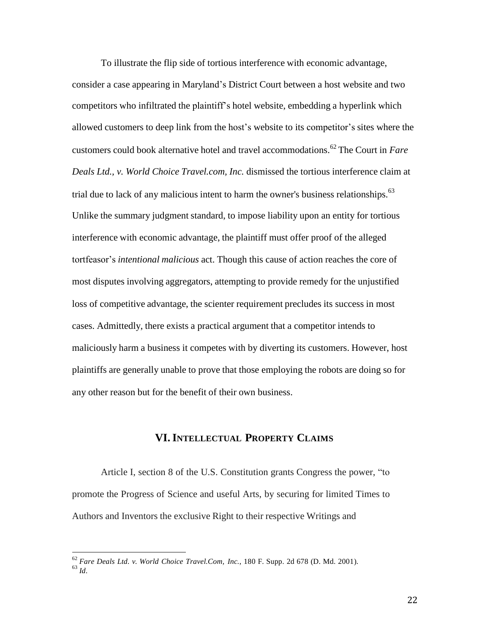To illustrate the flip side of tortious interference with economic advantage, consider a case appearing in Maryland's District Court between a host website and two competitors who infiltrated the plaintiff's hotel website, embedding a hyperlink which allowed customers to deep link from the host's website to its competitor's sites where the customers could book alternative hotel and travel accommodations. 62 The Court in *Fare Deals Ltd., v. World Choice Travel.com, Inc.* dismissed the tortious interference claim at trial due to lack of any malicious intent to harm the owner's business relationships. $^{63}$ Unlike the summary judgment standard, to impose liability upon an entity for tortious interference with economic advantage, the plaintiff must offer proof of the alleged tortfeasor's *intentional malicious* act. Though this cause of action reaches the core of most disputes involving aggregators, attempting to provide remedy for the unjustified loss of competitive advantage, the scienter requirement precludes its success in most cases. Admittedly, there exists a practical argument that a competitor intends to maliciously harm a business it competes with by diverting its customers. However, host plaintiffs are generally unable to prove that those employing the robots are doing so for any other reason but for the benefit of their own business.

# **VI.INTELLECTUAL PROPERTY CLAIMS**

Article I, section 8 of the U.S. Constitution grants Congress the power, "to promote the Progress of Science and useful Arts, by securing for limited Times to Authors and Inventors the exclusive Right to their respective Writings and

 62 *Fare Deals Ltd. v. World Choice Travel.Com, Inc.*, 180 F. Supp. 2d 678 (D. Md. 2001). 63 *Id*.

 <sup>22</sup>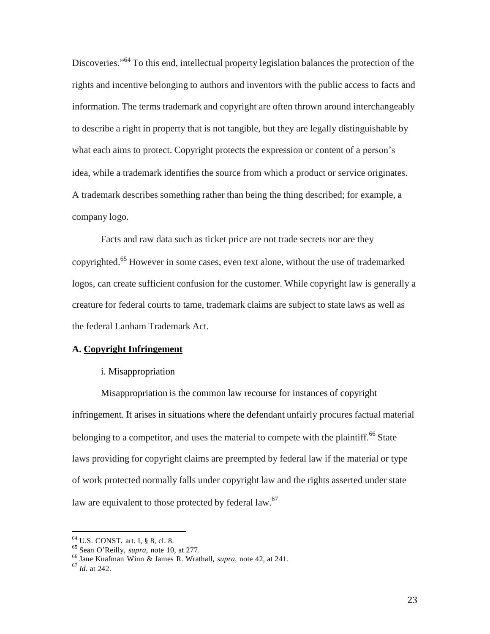Discoveries."<sup>64</sup> To this end, intellectual property legislation balances the protection of the rights and incentive belonging to authors and inventors with the public access to facts and information. The terms trademark and copyright are often thrown around interchangeably to describe a right in property that is not tangible, but they are legally distinguishable by what each aims to protect. Copyright protects the expression or content of a person's idea, while a trademark identifies the source from which a product or service originates. A trademark describes something rather than being the thing described; for example, a company logo.

Facts and raw data such as ticket price are not trade secrets nor are they copyrighted. <sup>65</sup> However in some cases, even text alone, without the use of trademarked logos, can create sufficient confusion for the customer. While copyright law is generally a creature for federal courts to tame, trademark claims are subject to state laws as well as the federal Lanham Trademark Act.

# **A. Copyright Infringement**

### i. Misappropriation

Misappropriation is the common law recourse for instances of copyright infringement. It arises in situations where the defendant unfairly procures factual material belonging to a competitor, and uses the material to compete with the plaintiff.<sup>66</sup> State laws providing for copyright claims are preempted by federal law if the material or type of work protected normally falls under copyright law and the rights asserted under state law are equivalent to those protected by federal law.<sup>67</sup>

<sup>64</sup> U.S. CONST. art. I, § 8, cl. 8.

<sup>65</sup> Sean O'Reilly, *supra*, note 10, at 277.

<sup>66</sup> Jane Kuafman Winn & James R. Wrathall, *supra*, note 42, at 241.

<sup>67</sup> *Id*. at 242.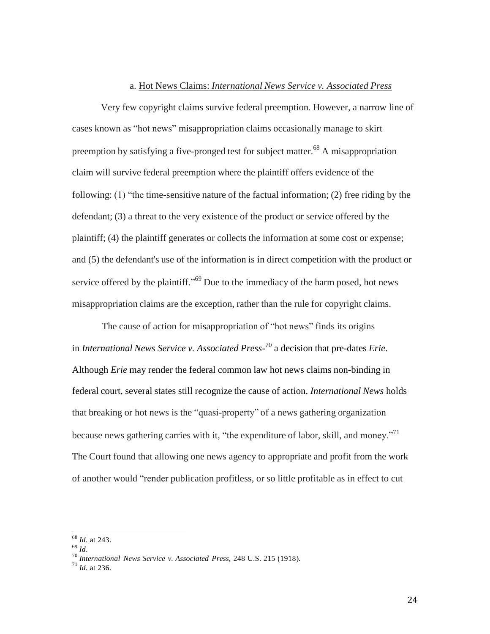#### a. Hot News Claims: *International News Service v. Associated Press*

Very few copyright claims survive federal preemption. However, a narrow line of cases known as "hot news" misappropriation claims occasionally manage to skirt preemption by satisfying a five-pronged test for subject matter.<sup>68</sup> A misappropriation claim will survive federal preemption where the plaintiff offers evidence of the following: (1) "the time-sensitive nature of the factual information; (2) free riding by the defendant; (3) a threat to the very existence of the product or service offered by the plaintiff; (4) the plaintiff generates or collects the information at some cost or expense; and (5) the defendant's use of the information is in direct competition with the product or service offered by the plaintiff."<sup>69</sup> Due to the immediacy of the harm posed, hot news misappropriation claims are the exception, rather than the rule for copyright claims.

The cause of action for misappropriation of "hot news" finds its origins in *International News Service v. Associated Press-*70 a decision that pre-dates *Erie*. Although *Erie* may render the federal common law hot news claims non-binding in federal court, several states still recognize the cause of action. *International News* holds that breaking or hot news is the "quasi-property" of a news gathering organization because news gathering carries with it, "the expenditure of labor, skill, and money."<sup>71</sup> The Court found that allowing one news agency to appropriate and profit from the work of another would "render publication profitless, or so little profitable as in effect to cut

<sup>68</sup> *Id*. at 243.

<sup>69</sup> *Id*.

<sup>70</sup> *International News Service v. Associated Press*, 248 U.S. 215 (1918).

<sup>71</sup> *Id*. at 236.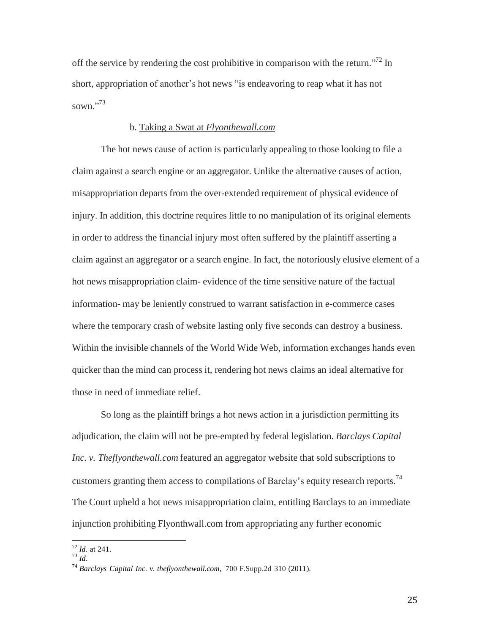off the service by rendering the cost prohibitive in comparison with the return."<sup>72</sup> In short, appropriation of another's hot news "is endeavoring to reap what it has not sown."<sup>73</sup>

### b. Taking a Swat at *Flyonthewall.com*

The hot news cause of action is particularly appealing to those looking to file a claim against a search engine or an aggregator. Unlike the alternative causes of action, misappropriation departs from the over-extended requirement of physical evidence of injury. In addition, this doctrine requires little to no manipulation of its original elements in order to address the financial injury most often suffered by the plaintiff asserting a claim against an aggregator or a search engine. In fact, the notoriously elusive element of a hot news misappropriation claim- evidence of the time sensitive nature of the factual information- may be leniently construed to warrant satisfaction in e-commerce cases where the temporary crash of website lasting only five seconds can destroy a business. Within the invisible channels of the World Wide Web, information exchanges hands even quicker than the mind can process it, rendering hot news claims an ideal alternative for those in need of immediate relief.

So long as the plaintiff brings a hot news action in a jurisdiction permitting its adjudication, the claim will not be pre-empted by federal legislation. *Barclays Capital Inc. v. Theflyonthewall.com* featured an aggregator website that sold subscriptions to customers granting them access to compilations of Barclay's equity research reports.<sup>74</sup> The Court upheld a hot news misappropriation claim, entitling Barclays to an immediate injunction prohibiting Flyonthwall.com from appropriating any further economic

 72 *Id*. at 241. 73 *Id*.

<sup>74</sup> *Barclays Capital Inc. v. theflyonthewall.com*, 700 F.Supp.2d 310 (2011).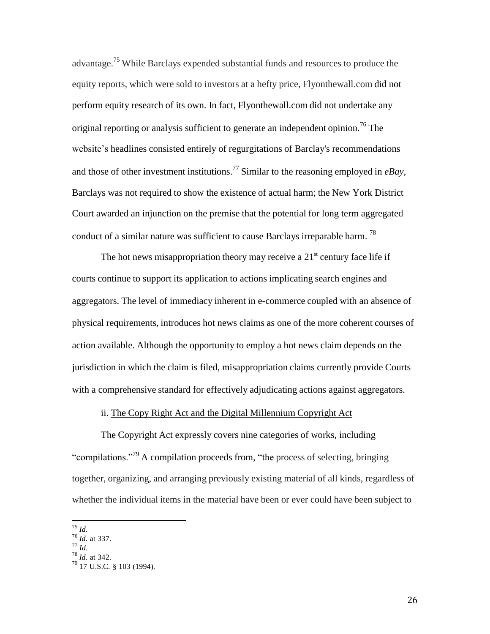advantage.<sup>75</sup> While Barclays expended substantial funds and resources to produce the equity reports, which were sold to investors at a hefty price, Flyonthewall.com did not perform equity research of its own. In fact, Flyonthewall.com did not undertake any original reporting or analysis sufficient to generate an independent opinion.<sup>76</sup> The website's headlines consisted entirely of regurgitations of Barclay's recommendations and those of other investment institutions.<sup>77</sup> Similar to the reasoning employed in *eBay*, Barclays was not required to show the existence of actual harm; the New York District Court awarded an injunction on the premise that the potential for long term aggregated conduct of a similar nature was sufficient to cause Barclays irreparable harm.  $^{78}$ 

The hot news misappropriation theory may receive a  $21<sup>st</sup>$  century face life if courts continue to support its application to actions implicating search engines and aggregators. The level of immediacy inherent in e-commerce coupled with an absence of physical requirements, introduces hot news claims as one of the more coherent courses of action available. Although the opportunity to employ a hot news claim depends on the jurisdiction in which the claim is filed, misappropriation claims currently provide Courts with a comprehensive standard for effectively adjudicating actions against aggregators.

# ii. The Copy Right Act and the Digital Millennium Copyright Act

The Copyright Act expressly covers nine categories of works, including "compilations."<sup>79</sup> A compilation proceeds from, "the process of selecting, bringing together, organizing, and arranging previously existing material of all kinds, regardless of whether the individual items in the material have been or ever could have been subject to

 75 *Id*.

<sup>76</sup> *Id*. at 337.

<sup>77</sup> *Id*.

<sup>78</sup> *Id*. at 342.

<sup>&</sup>lt;sup>79</sup> 17 U.S.C. § 103 (1994).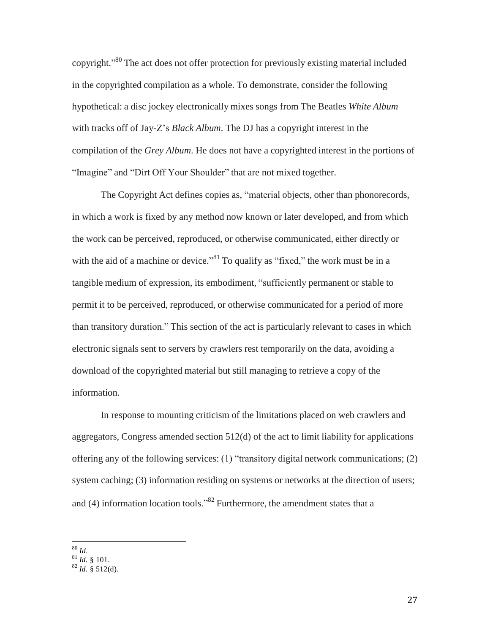copyright."<sup>80</sup> The act does not offer protection for previously existing material included in the copyrighted compilation as a whole. To demonstrate, consider the following hypothetical: a disc jockey electronically mixes songs from The Beatles *White Album*  with tracks off of Jay-Z's *Black Album*. The DJ has a copyright interest in the compilation of the *Grey Album*. He does not have a copyrighted interest in the portions of "Imagine" and "Dirt Off Your Shoulder" that are not mixed together.

The Copyright Act defines copies as, "material objects, other than phonorecords, in which a work is fixed by any method now known or later developed, and from which the work can be perceived, reproduced, or otherwise communicated, either directly or with the aid of a machine or device."<sup>81</sup> To qualify as "fixed," the work must be in a tangible medium of expression, its embodiment, "sufficiently permanent or stable to permit it to be perceived, reproduced, or otherwise communicated for a period of more than transitory duration." This section of the act is particularly relevant to cases in which electronic signals sent to servers by crawlers rest temporarily on the data, avoiding a download of the copyrighted material but still managing to retrieve a copy of the information.

In response to mounting criticism of the limitations placed on web crawlers and aggregators, Congress amended section 512(d) of the act to limit liability for applications offering any of the following services: (1) "transitory digital network communications; (2) system caching; (3) information residing on systems or networks at the direction of users; and  $(4)$  information location tools."<sup>82</sup> Furthermore, the amendment states that a

 80 *Id*.

<sup>81</sup> *Id*. § 101. 82 *Id*. § 512(d).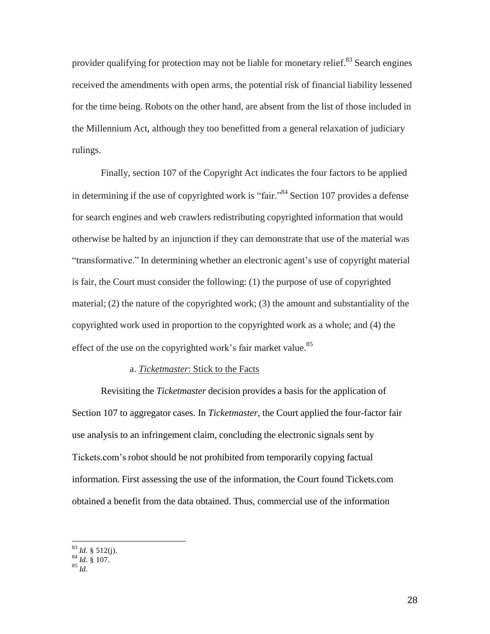provider qualifying for protection may not be liable for monetary relief.<sup>83</sup> Search engines received the amendments with open arms, the potential risk of financial liability lessened for the time being. Robots on the other hand, are absent from the list of those included in the Millennium Act, although they too benefitted from a general relaxation of judiciary rulings.

Finally, section 107 of the Copyright Act indicates the four factors to be applied in determining if the use of copyrighted work is "fair."<sup>84</sup> Section 107 provides a defense for search engines and web crawlers redistributing copyrighted information that would otherwise be halted by an injunction if they can demonstrate that use of the material was "transformative." In determining whether an electronic agent's use of copyright material is fair, the Court must consider the following: (1) the purpose of use of copyrighted material; (2) the nature of the copyrighted work; (3) the amount and substantiality of the copyrighted work used in proportion to the copyrighted work as a whole; and (4) the effect of the use on the copyrighted work's fair market value.<sup>85</sup>

# a. *Ticketmaster*: Stick to the Facts

Revisiting the *Ticketmaster* decision provides a basis for the application of Section 107 to aggregator cases. In *Ticketmaster*, the Court applied the four-factor fair use analysis to an infringement claim, concluding the electronic signals sent by Tickets.com's robot should be not prohibited from temporarily copying factual information. First assessing the use of the information, the Court found Tickets.com obtained a benefit from the data obtained. Thus, commercial use of the information

 83 *Id*. § 512(j). 84 *Id*. § 107.

<sup>85</sup> *Id*.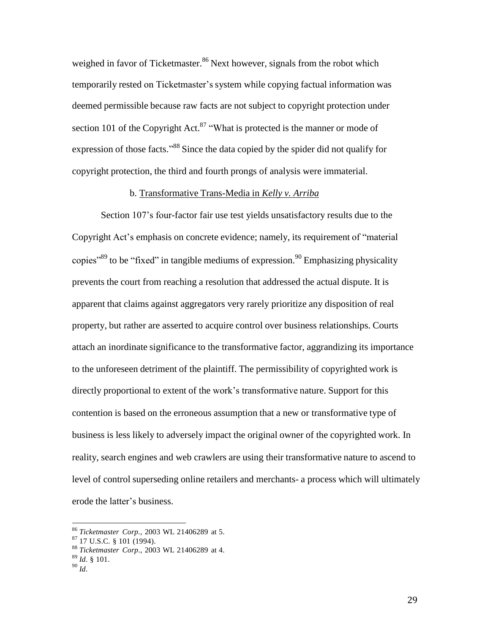weighed in favor of Ticketmaster.<sup>86</sup> Next however, signals from the robot which temporarily rested on Ticketmaster's system while copying factual information was deemed permissible because raw facts are not subject to copyright protection under section 101 of the Copyright Act.<sup>87</sup> "What is protected is the manner or mode of expression of those facts."<sup>88</sup> Since the data copied by the spider did not qualify for copyright protection, the third and fourth prongs of analysis were immaterial.

#### b. Transformative Trans-Media in *Kelly v. Arriba*

Section 107's four-factor fair use test yields unsatisfactory results due to the Copyright Act's emphasis on concrete evidence; namely, its requirement of "material copies<sup>389</sup> to be "fixed" in tangible mediums of expression.<sup>90</sup> Emphasizing physicality prevents the court from reaching a resolution that addressed the actual dispute. It is apparent that claims against aggregators very rarely prioritize any disposition of real property, but rather are asserted to acquire control over business relationships. Courts attach an inordinate significance to the transformative factor, aggrandizing its importance to the unforeseen detriment of the plaintiff. The permissibility of copyrighted work is directly proportional to extent of the work's transformative nature. Support for this contention is based on the erroneous assumption that a new or transformative type of business is less likely to adversely impact the original owner of the copyrighted work. In reality, search engines and web crawlers are using their transformative nature to ascend to level of control superseding online retailers and merchants- a process which will ultimately erode the latter's business.

<sup>86</sup> *Ticketmaster Corp.*, 2003 WL 21406289 at 5.

 $^{87}$  17 U.S.C. § 101 (1994).

<sup>88</sup> *Ticketmaster Corp.*, 2003 WL 21406289 at 4.

<sup>89</sup> *Id*. § 101.

<sup>90</sup> *Id*.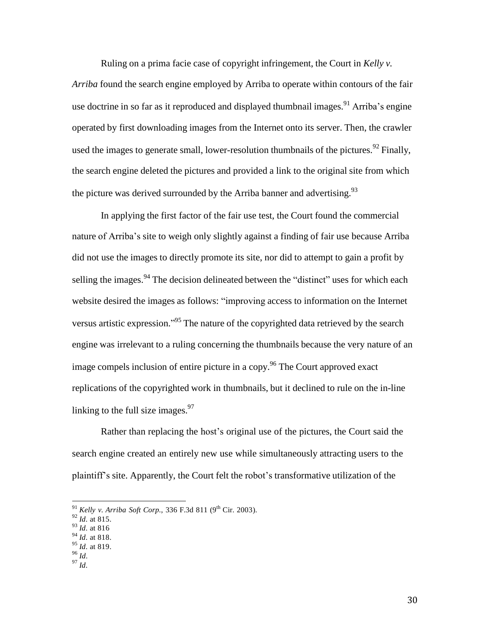Ruling on a prima facie case of copyright infringement, the Court in *Kelly v.* 

*Arriba* found the search engine employed by Arriba to operate within contours of the fair use doctrine in so far as it reproduced and displayed thumbnail images.<sup>91</sup> Arriba's engine operated by first downloading images from the Internet onto its server. Then, the crawler used the images to generate small, lower-resolution thumbnails of the pictures.<sup>92</sup> Finally, the search engine deleted the pictures and provided a link to the original site from which the picture was derived surrounded by the Arriba banner and advertising.<sup>93</sup>

In applying the first factor of the fair use test, the Court found the commercial nature of Arriba's site to weigh only slightly against a finding of fair use because Arriba did not use the images to directly promote its site, nor did to attempt to gain a profit by selling the images.<sup>94</sup> The decision delineated between the "distinct" uses for which each website desired the images as follows: "improving access to information on the Internet versus artistic expression."<sup>95</sup> The nature of the copyrighted data retrieved by the search engine was irrelevant to a ruling concerning the thumbnails because the very nature of an image compels inclusion of entire picture in a copy.<sup>96</sup> The Court approved exact replications of the copyrighted work in thumbnails, but it declined to rule on the in-line linking to the full size images.<sup>97</sup>

Rather than replacing the host's original use of the pictures, the Court said the search engine created an entirely new use while simultaneously attracting users to the plaintiff's site. Apparently, the Court felt the robot's transformative utilization of the

97 *Id*.

 <sup>91</sup> *Kelly v. Arriba Soft Corp.*, 336 F.3d 811 (9 th Cir. 2003).

<sup>92</sup> *Id*. at 815.

<sup>93</sup> *Id*. at 816

<sup>94</sup> *Id*. at 818.

<sup>95</sup> *Id*. at 819.

<sup>96</sup> *Id*.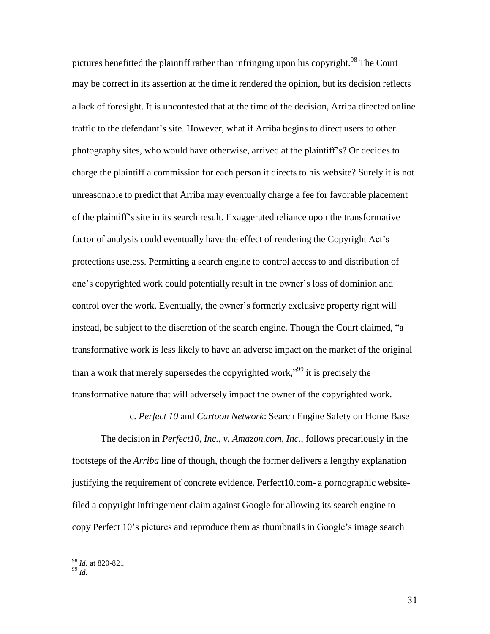pictures benefitted the plaintiff rather than infringing upon his copyright.<sup>98</sup> The Court may be correct in its assertion at the time it rendered the opinion, but its decision reflects a lack of foresight. It is uncontested that at the time of the decision, Arriba directed online traffic to the defendant's site. However, what if Arriba begins to direct users to other photography sites, who would have otherwise, arrived at the plaintiff's? Or decides to charge the plaintiff a commission for each person it directs to his website? Surely it is not unreasonable to predict that Arriba may eventually charge a fee for favorable placement of the plaintiff's site in its search result. Exaggerated reliance upon the transformative factor of analysis could eventually have the effect of rendering the Copyright Act's protections useless. Permitting a search engine to control access to and distribution of one's copyrighted work could potentially result in the owner's loss of dominion and control over the work. Eventually, the owner's formerly exclusive property right will instead, be subject to the discretion of the search engine. Though the Court claimed, "a transformative work is less likely to have an adverse impact on the market of the original than a work that merely supersedes the copyrighted work,"<sup>99</sup> it is precisely the transformative nature that will adversely impact the owner of the copyrighted work.

c. *Perfect 10* and *Cartoon Network*: Search Engine Safety on Home Base

The decision in *Perfect10, Inc., v. Amazon.com, Inc.*, follows precariously in the footsteps of the *Arriba* line of though, though the former delivers a lengthy explanation justifying the requirement of concrete evidence. Perfect10.com- a pornographic websitefiled a copyright infringement claim against Google for allowing its search engine to copy Perfect 10's pictures and reproduce them as thumbnails in Google's image search

<sup>98</sup> *Id*. at 820-821.

<sup>99</sup> *Id*.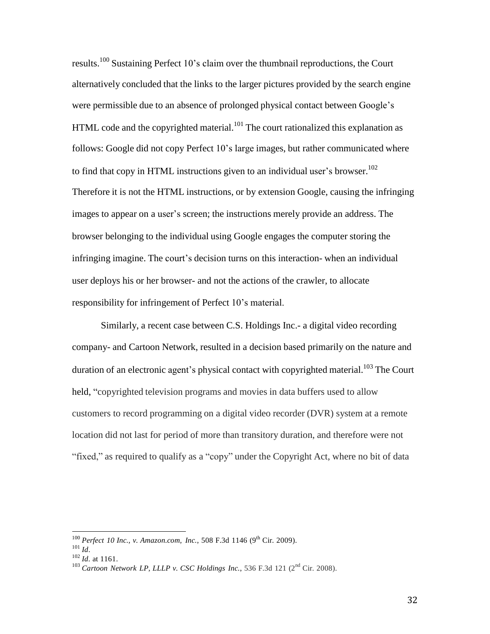results.<sup>100</sup> Sustaining Perfect 10's claim over the thumbnail reproductions, the Court alternatively concluded that the links to the larger pictures provided by the search engine were permissible due to an absence of prolonged physical contact between Google's HTML code and the copyrighted material.<sup>101</sup> The court rationalized this explanation as follows: Google did not copy Perfect 10's large images, but rather communicated where to find that copy in HTML instructions given to an individual user's browser.<sup>102</sup> Therefore it is not the HTML instructions, or by extension Google, causing the infringing images to appear on a user's screen; the instructions merely provide an address. The browser belonging to the individual using Google engages the computer storing the infringing imagine. The court's decision turns on this interaction- when an individual user deploys his or her browser- and not the actions of the crawler, to allocate responsibility for infringement of Perfect 10's material.

Similarly, a recent case between C.S. Holdings Inc.- a digital video recording company- and Cartoon Network, resulted in a decision based primarily on the nature and duration of an electronic agent's physical contact with copyrighted material.<sup>103</sup> The Court held, "copyrighted television programs and movies in data buffers used to allow customers to record programming on a digital video recorder (DVR) system at a remote location did not last for period of more than transitory duration, and therefore were not "fixed," as required to qualify as a "copy" under the Copyright Act, where no bit of data

 100 *Perfect 10 Inc., v. Amazon.com, Inc.*, 508 F.3d 1146 (9 th Cir. 2009).

<sup>101</sup> *Id*.

<sup>102</sup> *Id*. at 1161.

<sup>103</sup> *Cartoon Network LP, LLLP v. CSC Holdings Inc.*, 536 F.3d 121 (2 nd Cir. 2008).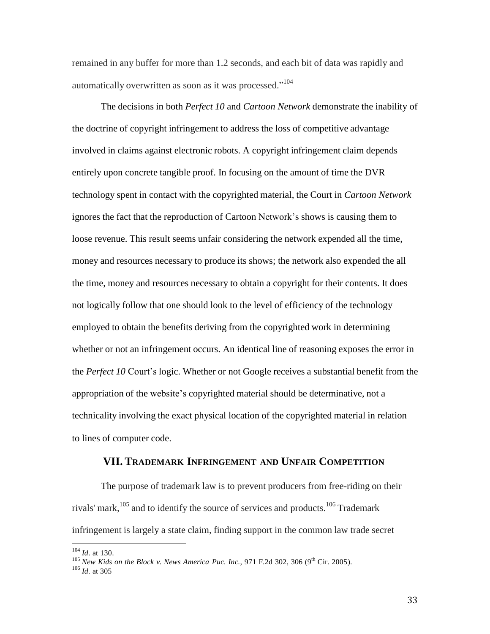remained in any buffer for more than 1.2 seconds, and each bit of data was rapidly and automatically overwritten as soon as it was processed."<sup>104</sup>

The decisions in both *Perfect 10* and *Cartoon Network* demonstrate the inability of the doctrine of copyright infringement to address the loss of competitive advantage involved in claims against electronic robots. A copyright infringement claim depends entirely upon concrete tangible proof. In focusing on the amount of time the DVR technology spent in contact with the copyrighted material, the Court in *Cartoon Network*  ignores the fact that the reproduction of Cartoon Network's shows is causing them to loose revenue. This result seems unfair considering the network expended all the time, money and resources necessary to produce its shows; the network also expended the all the time, money and resources necessary to obtain a copyright for their contents. It does not logically follow that one should look to the level of efficiency of the technology employed to obtain the benefits deriving from the copyrighted work in determining whether or not an infringement occurs. An identical line of reasoning exposes the error in the *Perfect 10* Court's logic. Whether or not Google receives a substantial benefit from the appropriation of the website's copyrighted material should be determinative, not a technicality involving the exact physical location of the copyrighted material in relation to lines of computer code.

# **VII. TRADEMARK INFRINGEMENT AND UNFAIR COMPETITION**

The purpose of trademark law is to prevent producers from free-riding on their rivals' mark,<sup>105</sup> and to identify the source of services and products.<sup>106</sup> Trademark infringement is largely a state claim, finding support in the common law trade secret

<sup>104</sup> *Id*. at 130.

<sup>105</sup> *New Kids on the Block v. News America Puc. Inc.,* 971 F.2d 302, 306 (9 th Cir. 2005).

<sup>106</sup> *Id*. at 305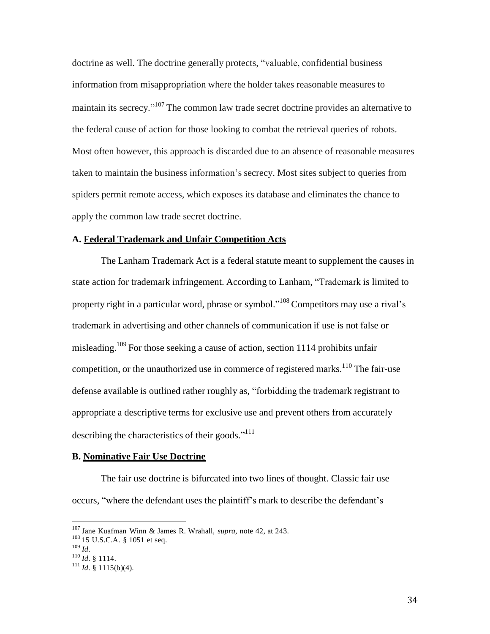doctrine as well. The doctrine generally protects, "valuable, confidential business information from misappropriation where the holder takes reasonable measures to maintain its secrecy."<sup>107</sup> The common law trade secret doctrine provides an alternative to the federal cause of action for those looking to combat the retrieval queries of robots. Most often however, this approach is discarded due to an absence of reasonable measures taken to maintain the business information's secrecy. Most sites subject to queries from spiders permit remote access, which exposes its database and eliminates the chance to apply the common law trade secret doctrine.

#### **A. Federal Trademark and Unfair Competition Acts**

The Lanham Trademark Act is a federal statute meant to supplement the causes in state action for trademark infringement. According to Lanham, "Trademark is limited to property right in a particular word, phrase or symbol."<sup>108</sup> Competitors may use a rival's trademark in advertising and other channels of communication if use is not false or misleading.<sup>109</sup> For those seeking a cause of action, section 1114 prohibits unfair competition, or the unauthorized use in commerce of registered marks.<sup>110</sup> The fair-use defense available is outlined rather roughly as, "forbidding the trademark registrant to appropriate a descriptive terms for exclusive use and prevent others from accurately describing the characteristics of their goods."<sup>111</sup>

#### **B. Nominative Fair Use Doctrine**

The fair use doctrine is bifurcated into two lines of thought. Classic fair use occurs, "where the defendant uses the plaintiff's mark to describe the defendant's

<sup>107</sup> Jane Kuafman Winn & James R. Wrahall, *supra*, note 42, at 243.

<sup>&</sup>lt;sup>108</sup> 15 U.S.C.A. § 1051 et seq.

<sup>109</sup> *Id*.

<sup>110</sup> *Id*. § 1114.

 $111$  *Id.* § 1115(b)(4).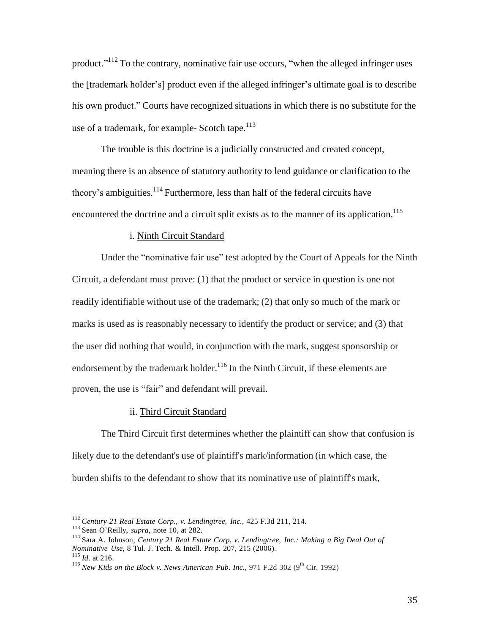product."<sup>112</sup> To the contrary, nominative fair use occurs, "when the alleged infringer uses the [trademark holder's] product even if the alleged infringer's ultimate goal is to describe his own product." Courts have recognized situations in which there is no substitute for the use of a trademark, for example- Scotch tape. $113$ 

The trouble is this doctrine is a judicially constructed and created concept, meaning there is an absence of statutory authority to lend guidance or clarification to the theory's ambiguities.<sup>114</sup> Furthermore, less than half of the federal circuits have encountered the doctrine and a circuit split exists as to the manner of its application.<sup>115</sup>

#### i. Ninth Circuit Standard

Under the "nominative fair use" test adopted by the Court of Appeals for the Ninth Circuit, a defendant must prove: (1) that the product or service in question is one not readily identifiable without use of the trademark; (2) that only so much of the mark or marks is used as is reasonably necessary to identify the product or service; and (3) that the user did nothing that would, in conjunction with the mark, suggest sponsorship or endorsement by the trademark holder.<sup>116</sup> In the Ninth Circuit, if these elements are proven, the use is "fair" and defendant will prevail.

### ii. Third Circuit Standard

The Third Circuit first determines whether the plaintiff can show that confusion is likely due to the defendant's use of plaintiff's mark/information (in which case, the burden shifts to the defendant to show that its nominative use of plaintiff's mark,

<sup>112</sup> *Century 21 Real Estate Corp., v. Lendingtree, Inc.*, 425 F.3d 211, 214.

<sup>113</sup> Sean O'Reilly, *supra*, note 10, at 282.

<sup>114</sup> Sara A. Johnson, *Century 21 Real Estate Corp. v. Lendingtree, Inc.: Making a Big Deal Out of Nominative Use*, 8 Tul. J. Tech. & Intell. Prop. 207, 215 (2006). 115 *Id*. at 216.

<sup>116</sup> *New Kids on the Block v. News American Pub. Inc.*, 971 F.2d 302 (9 th Cir. 1992)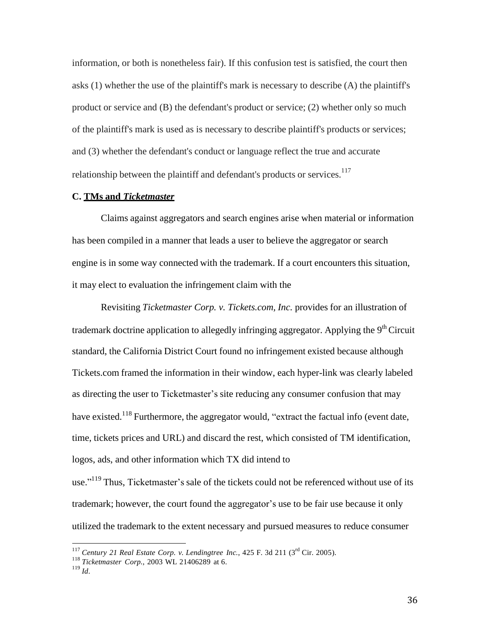information, or both is nonetheless fair). If this confusion test is satisfied, the court then asks (1) whether the use of the plaintiff's mark is necessary to describe (A) the plaintiff's product or service and (B) the defendant's product or service; (2) whether only so much of the plaintiff's mark is used as is necessary to describe plaintiff's products or services; and (3) whether the defendant's conduct or language reflect the true and accurate relationship between the plaintiff and defendant's products or services.<sup>117</sup>

#### **C. TMs and** *Ticketmaster*

Claims against aggregators and search engines arise when material or information has been compiled in a manner that leads a user to believe the aggregator or search engine is in some way connected with the trademark. If a court encounters this situation, it may elect to evaluation the infringement claim with the

Revisiting *Ticketmaster Corp. v. Tickets.com, Inc.* provides for an illustration of trademark doctrine application to allegedly infringing aggregator. Applying the 9<sup>th</sup> Circuit standard, the California District Court found no infringement existed because although Tickets.com framed the information in their window, each hyper-link was clearly labeled as directing the user to Ticketmaster's site reducing any consumer confusion that may have existed.<sup>118</sup> Furthermore, the aggregator would, "extract the factual info (event date, time, tickets prices and URL) and discard the rest, which consisted of TM identification, logos, ads, and other information which TX did intend to

use."<sup>119</sup> Thus, Ticketmaster's sale of the tickets could not be referenced without use of its trademark; however, the court found the aggregator's use to be fair use because it only utilized the trademark to the extent necessary and pursued measures to reduce consumer

 <sup>117</sup> *Century 21 Real Estate Corp. v. Lendingtree Inc.*, 425 F. 3d 211 (3 rd Cir. 2005).

<sup>118</sup> *Ticketmaster Corp.*, 2003 WL 21406289 at 6.

<sup>119</sup> *Id*.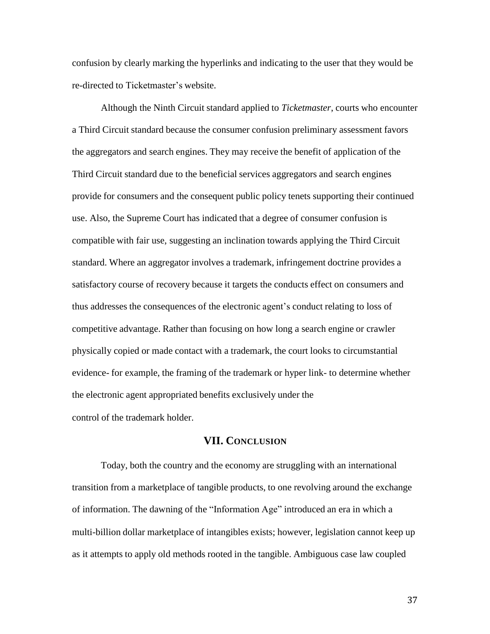confusion by clearly marking the hyperlinks and indicating to the user that they would be re-directed to Ticketmaster's website.

Although the Ninth Circuit standard applied to *Ticketmaster*, courts who encounter a Third Circuit standard because the consumer confusion preliminary assessment favors the aggregators and search engines. They may receive the benefit of application of the Third Circuit standard due to the beneficial services aggregators and search engines provide for consumers and the consequent public policy tenets supporting their continued use. Also, the Supreme Court has indicated that a degree of consumer confusion is compatible with fair use, suggesting an inclination towards applying the Third Circuit standard. Where an aggregator involves a trademark, infringement doctrine provides a satisfactory course of recovery because it targets the conducts effect on consumers and thus addresses the consequences of the electronic agent's conduct relating to loss of competitive advantage. Rather than focusing on how long a search engine or crawler physically copied or made contact with a trademark, the court looks to circumstantial evidence- for example, the framing of the trademark or hyper link- to determine whether the electronic agent appropriated benefits exclusively under the control of the trademark holder.

# **VII. CONCLUSION**

Today, both the country and the economy are struggling with an international transition from a marketplace of tangible products, to one revolving around the exchange of information. The dawning of the "Information Age" introduced an era in which a multi-billion dollar marketplace of intangibles exists; however, legislation cannot keep up as it attempts to apply old methods rooted in the tangible. Ambiguous case law coupled

37